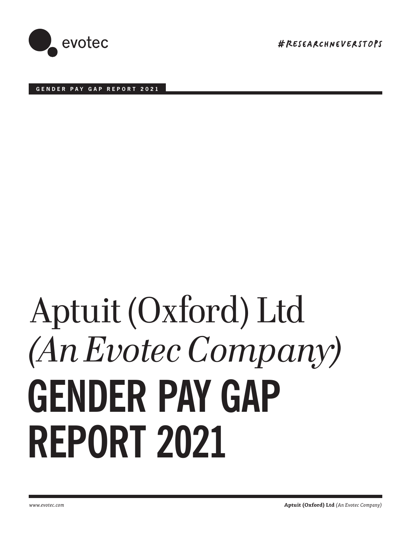

#RESeArChneVErSTOpS

**GENDER PAY GAP REPORT 2021**

# **GENDER PAY GAP REPORT 2021** Aptuit (Oxford) Ltd *(An Evotec Company)*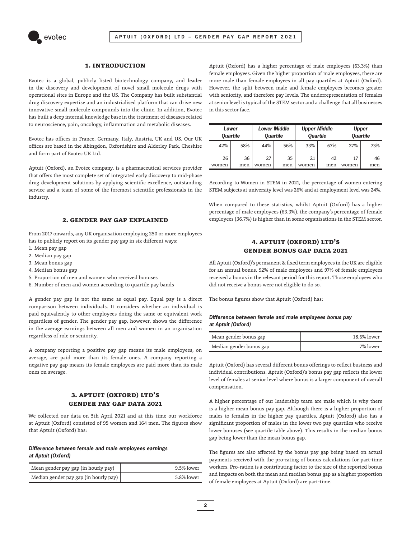

#### **1. Introduction**

Evotec is a global, publicly listed biotechnology company, and leader in the discovery and development of novel small molecule drugs with operational sites in Europe and the US. The Company has built substantial drug discovery expertise and an industrialised platform that can drive new innovative small molecule compounds into the clinic. In addition, Evotec has built a deep internal knowledge base in the treatment of diseases related to neuroscience, pain, oncology, inflammation and metabolic diseases.

Evotec has offices in France, Germany, Italy, Austria, UK and US. Our UK offices are based in the Abingdon, Oxfordshire and Alderley Park, Cheshire and form part of Evotec UK Ltd.

Aptuit (Oxford), an Evotec company, is a pharmaceutical services provider that offers the most complete set of integrated early discovery to mid-phase drug development solutions by applying scientific excellence, outstanding service and a team of some of the foremost scientific professionals in the industry.

#### **2. Gender Pay Gap explained**

From 2017 onwards, any UK organisation employing 250 or more employees has to publicly report on its gender pay gap in six different ways:

- 1. Mean pay gap
- 2. Median pay gap
- 3. Mean bonus gap
- 4. Median bonus gap
- 5. Proportion of men and women who received bonuses
- 6. Number of men and women according to quartile pay bands

A gender pay gap is not the same as equal pay. Equal pay is a direct comparison between individuals. It considers whether an individual is paid equivalently to other employees doing the same or equivalent work regardless of gender. The gender pay gap, however, shows the difference in the average earnings between all men and women in an organisation regardless of role or seniority.

A company reporting a positive pay gap means its male employees, on average, are paid more than its female ones. A company reporting a negative pay gap means its female employees are paid more than its male ones on average.

## **3. Aptuit (Oxford) Ltd's Gender Pay Gap data 2021**

We collected our data on 5th April 2021 and at this time our workforce at Aptuit (Oxford) consisted of 95 women and 164 men. The figures show that Aptuit (Oxford) has:

#### **Difference between female and male employees earnings at Aptuit (Oxford)**

| Mean gender pay gap (in hourly pay)   | $9.5\%$ lower |
|---------------------------------------|---------------|
| Median gender pay gap (in hourly pay) | 5.8% lower    |

Aptuit (Oxford) has a higher percentage of male employees (63.3%) than female employees. Given the higher proportion of male employees, there are more male than female employees in all pay quartiles at Aptuit (Oxford). However, the split between male and female employees becomes greater with seniority, and therefore pay levels. The underrepresentation of females at senior level is typical of the STEM sector and a challenge that all businesses in this sector face.

| Lower<br><b>Quartile</b> |     | <b>Lower Middle</b><br><b>Quartile</b> |     | <b>Upper Middle</b><br><b>Quartile</b> |     | <b>Upper</b><br><b>Quartile</b> |     |
|--------------------------|-----|----------------------------------------|-----|----------------------------------------|-----|---------------------------------|-----|
| 42%                      | 58% | 44%                                    | 56% | 33%                                    | 67% | 27%                             | 73% |
| 26                       | 36  | 27                                     | 35  | 21                                     | 42  | 17                              | 46  |
| women                    | men | women                                  | men | women                                  | men | women                           | men |

According to Women in STEM in 2021, the percentage of women entering STEM subjects at university level was 26% and at employment level was 24%.

When compared to these statistics, whilst Aptuit (Oxford) has a higher percentage of male employees (63.3%), the company's percentage of female employees (36.7%) is higher than in some organisations in the STEM sector.

### **4. Aptuit (Oxford) Ltd's Gender Bonus Gap data 2021**

All Aptuit (Oxford)'s permanent & fixed term employees in the UK are eligible for an annual bonus. 92% of male employees and 97% of female employees received a bonus in the relevant period for this report. Those employees who did not receive a bonus were not eligible to do so.

The bonus figures show that Aptuit (Oxford) has:

#### **Difference between female and male employees bonus pay at Aptuit (Oxford)**

| Mean gender bonus gap   | 18.6% lower |
|-------------------------|-------------|
| Median gender bonus gap | 7% lower    |

Aptuit (Oxford) has several different bonus offerings to reflect business and individual contributions. Aptuit (Oxford)'s bonus pay gap reflects the lower level of females at senior level where bonus is a larger component of overall compensation.

A higher percentage of our leadership team are male which is why there is a higher mean bonus pay gap. Although there is a higher proportion of males to females in the higher pay quartiles, Aptuit (Oxford) also has a significant proportion of males in the lower two pay quartiles who receive lower bonuses (see quartile table above). This results in the median bonus gap being lower than the mean bonus gap.

The figures are also affected by the bonus pay gap being based on actual payments received with the pro-rating of bonus calculations for part-time workers. Pro-ration is a contributing factor to the size of the reported bonus and impacts on both the mean and median bonus gap as a higher proportion of female employees at Aptuit (Oxford) are part-time.